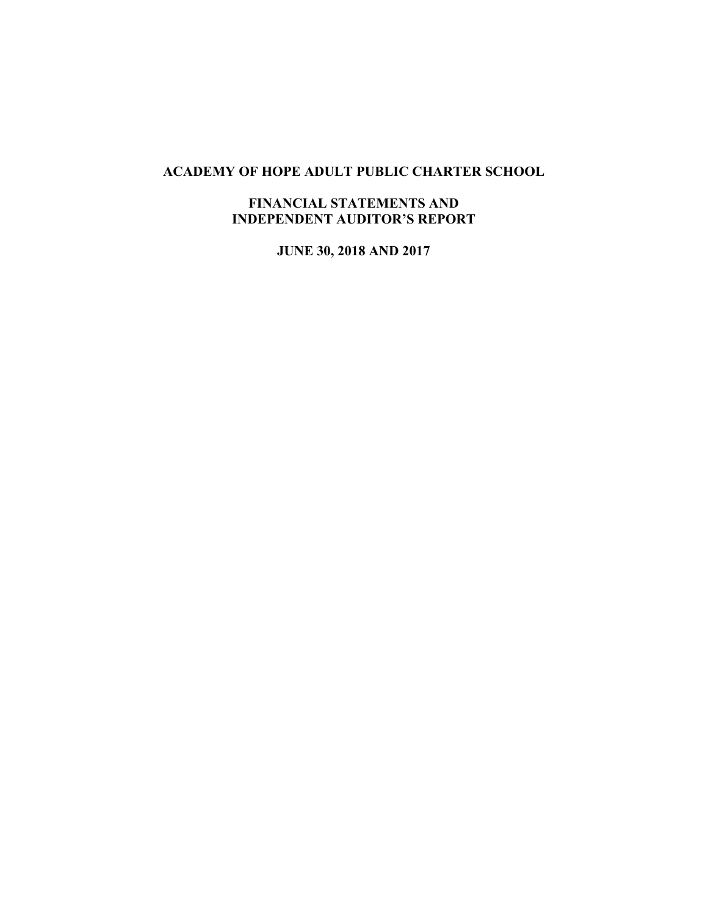# **ACADEMY OF HOPE ADULT PUBLIC CHARTER SCHOOL**

# **FINANCIAL STATEMENTS AND INDEPENDENT AUDITOR'S REPORT**

**JUNE 30, 2018 AND 2017**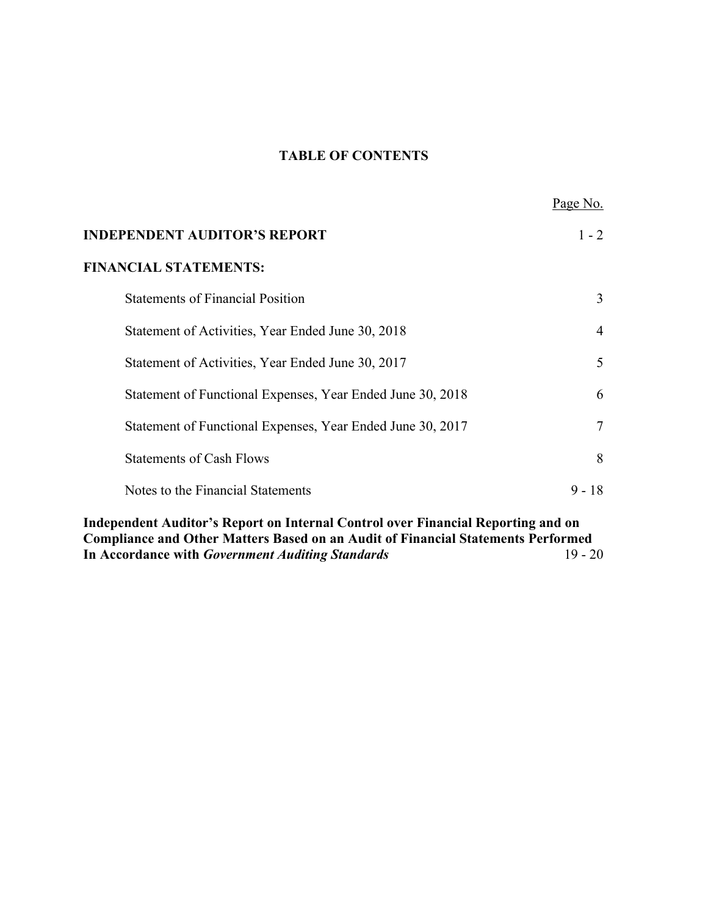# **TABLE OF CONTENTS**

|                                                            | Page No.       |
|------------------------------------------------------------|----------------|
| <b>INDEPENDENT AUDITOR'S REPORT</b>                        | $1 - 2$        |
| <b>FINANCIAL STATEMENTS:</b>                               |                |
| <b>Statements of Financial Position</b>                    | 3              |
| Statement of Activities, Year Ended June 30, 2018          | $\overline{4}$ |
| Statement of Activities, Year Ended June 30, 2017          | 5              |
| Statement of Functional Expenses, Year Ended June 30, 2018 | 6              |
| Statement of Functional Expenses, Year Ended June 30, 2017 | $\tau$         |
| <b>Statements of Cash Flows</b>                            | 8              |
| Notes to the Financial Statements                          | $9 - 18$       |
|                                                            |                |

**Independent Auditor's Report on Internal Control over Financial Reporting and on Compliance and Other Matters Based on an Audit of Financial Statements Performed In Accordance with** *Government Auditing Standards* **19 - 20**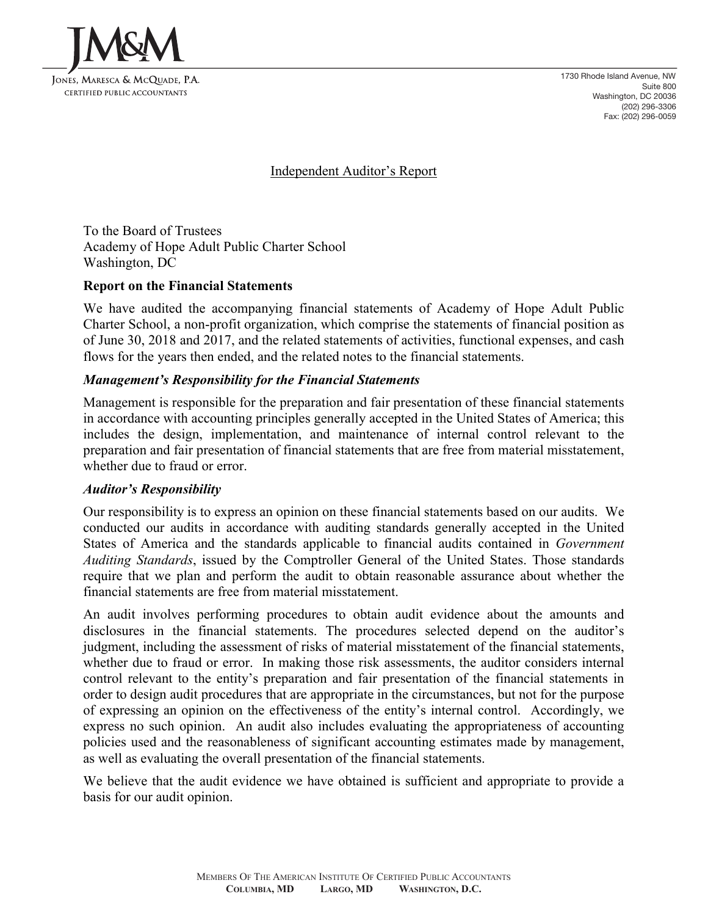

1730 Rhode Island Avenue, NW Suite 800 Washington, DC 20036 (202) 296-3306 Fax: (202) 296-0059

Independent Auditor's Report

To the Board of Trustees Academy of Hope Adult Public Charter School Washington, DC

# **Report on the Financial Statements**

We have audited the accompanying financial statements of Academy of Hope Adult Public Charter School, a non-profit organization, which comprise the statements of financial position as of June 30, 2018 and 2017, and the related statements of activities, functional expenses, and cash flows for the years then ended, and the related notes to the financial statements.

# *Management's Responsibility for the Financial Statements*

Management is responsible for the preparation and fair presentation of these financial statements in accordance with accounting principles generally accepted in the United States of America; this includes the design, implementation, and maintenance of internal control relevant to the preparation and fair presentation of financial statements that are free from material misstatement, whether due to fraud or error.

#### *Auditor's Responsibility*

Our responsibility is to express an opinion on these financial statements based on our audits. We conducted our audits in accordance with auditing standards generally accepted in the United States of America and the standards applicable to financial audits contained in *Government Auditing Standards*, issued by the Comptroller General of the United States. Those standards require that we plan and perform the audit to obtain reasonable assurance about whether the financial statements are free from material misstatement.

An audit involves performing procedures to obtain audit evidence about the amounts and disclosures in the financial statements. The procedures selected depend on the auditor's judgment, including the assessment of risks of material misstatement of the financial statements, whether due to fraud or error. In making those risk assessments, the auditor considers internal control relevant to the entity's preparation and fair presentation of the financial statements in order to design audit procedures that are appropriate in the circumstances, but not for the purpose of expressing an opinion on the effectiveness of the entity's internal control. Accordingly, we express no such opinion. An audit also includes evaluating the appropriateness of accounting policies used and the reasonableness of significant accounting estimates made by management, as well as evaluating the overall presentation of the financial statements.

We believe that the audit evidence we have obtained is sufficient and appropriate to provide a basis for our audit opinion.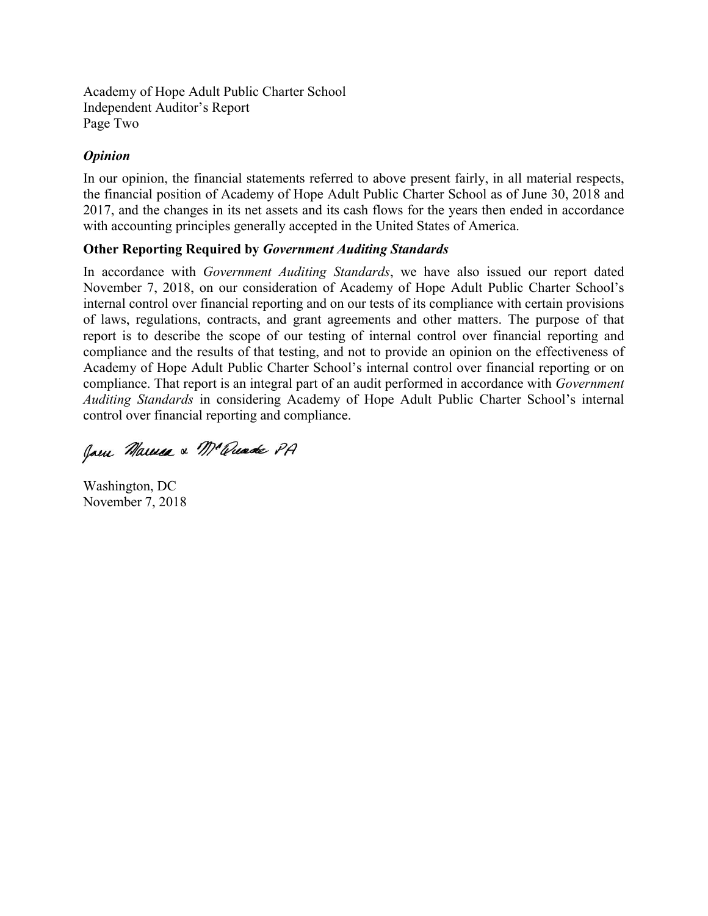Academy of Hope Adult Public Charter School Independent Auditor's Report Page Two

# *Opinion*

In our opinion, the financial statements referred to above present fairly, in all material respects, the financial position of Academy of Hope Adult Public Charter School as of June 30, 2018 and 2017, and the changes in its net assets and its cash flows for the years then ended in accordance with accounting principles generally accepted in the United States of America.

# **Other Reporting Required by** *Government Auditing Standards*

In accordance with *Government Auditing Standards*, we have also issued our report dated November 7, 2018, on our consideration of Academy of Hope Adult Public Charter School's internal control over financial reporting and on our tests of its compliance with certain provisions of laws, regulations, contracts, and grant agreements and other matters. The purpose of that report is to describe the scope of our testing of internal control over financial reporting and compliance and the results of that testing, and not to provide an opinion on the effectiveness of Academy of Hope Adult Public Charter School's internal control over financial reporting or on compliance. That report is an integral part of an audit performed in accordance with *Government Auditing Standards* in considering Academy of Hope Adult Public Charter School's internal control over financial reporting and compliance.

Jam Marie & Ma Quade PA

Washington, DC November 7, 2018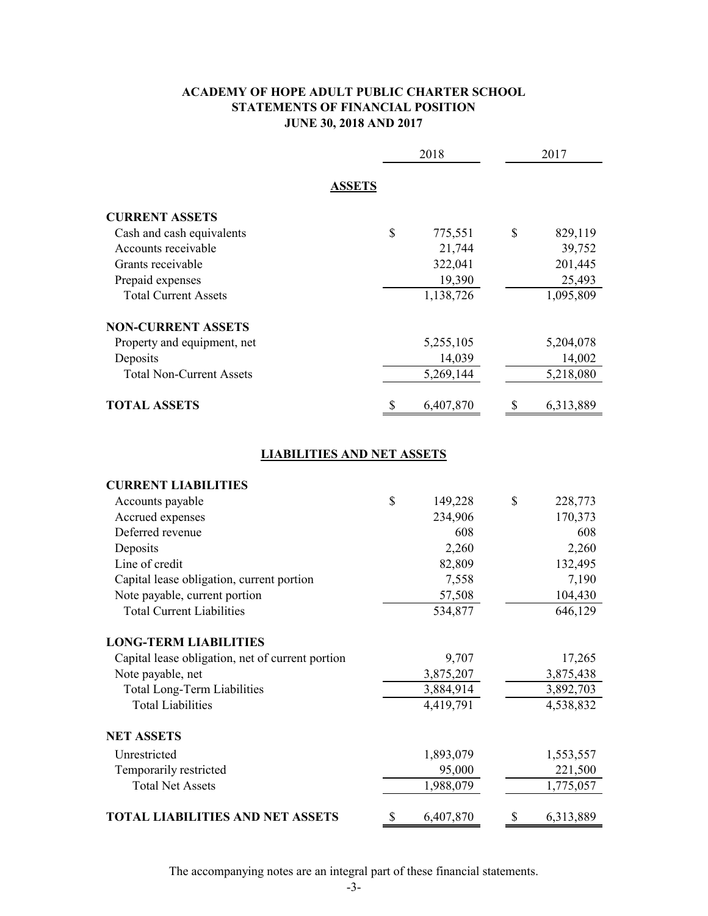# **ACADEMY OF HOPE ADULT PUBLIC CHARTER SCHOOL STATEMENTS OF FINANCIAL POSITION JUNE 30, 2018 AND 2017**

|                                 |               | 2018 |           | 2017          |
|---------------------------------|---------------|------|-----------|---------------|
|                                 | <b>ASSETS</b> |      |           |               |
| <b>CURRENT ASSETS</b>           |               |      |           |               |
| Cash and cash equivalents       |               | \$   | 775,551   | \$<br>829,119 |
| Accounts receivable             |               |      | 21,744    | 39,752        |
| Grants receivable               |               |      | 322,041   | 201,445       |
| Prepaid expenses                |               |      | 19,390    | 25,493        |
| <b>Total Current Assets</b>     |               |      | 1,138,726 | 1,095,809     |
| <b>NON-CURRENT ASSETS</b>       |               |      |           |               |
| Property and equipment, net     |               |      | 5,255,105 | 5,204,078     |
| Deposits                        |               |      | 14,039    | 14,002        |
| <b>Total Non-Current Assets</b> |               |      | 5,269,144 | 5,218,080     |
| <b>TOTAL ASSETS</b>             |               |      | 6,407,870 | 6,313,889     |
|                                 |               |      |           |               |

# **LIABILITIES AND NET ASSETS**

| <b>CURRENT LIABILITIES</b>                       |              |           |                 |
|--------------------------------------------------|--------------|-----------|-----------------|
| Accounts payable                                 | $\mathbb{S}$ | 149,228   | \$<br>228,773   |
| Accrued expenses                                 |              | 234,906   | 170,373         |
| Deferred revenue                                 |              | 608       | 608             |
| Deposits                                         |              | 2,260     | 2,260           |
| Line of credit                                   |              | 82,809    | 132,495         |
| Capital lease obligation, current portion        |              | 7,558     | 7,190           |
| Note payable, current portion                    |              | 57,508    | 104,430         |
| <b>Total Current Liabilities</b>                 |              | 534,877   | 646,129         |
| <b>LONG-TERM LIABILITIES</b>                     |              |           |                 |
| Capital lease obligation, net of current portion |              | 9,707     | 17,265          |
| Note payable, net                                |              | 3,875,207 | 3,875,438       |
| Total Long-Term Liabilities                      |              | 3,884,914 | 3,892,703       |
| <b>Total Liabilities</b>                         |              | 4,419,791 | 4,538,832       |
| <b>NET ASSETS</b>                                |              |           |                 |
| Unrestricted                                     |              | 1,893,079 | 1,553,557       |
| Temporarily restricted                           |              | 95,000    | 221,500         |
| <b>Total Net Assets</b>                          |              | 1,988,079 | 1,775,057       |
| <b>TOTAL LIABILITIES AND NET ASSETS</b>          | \$           | 6,407,870 | \$<br>6,313,889 |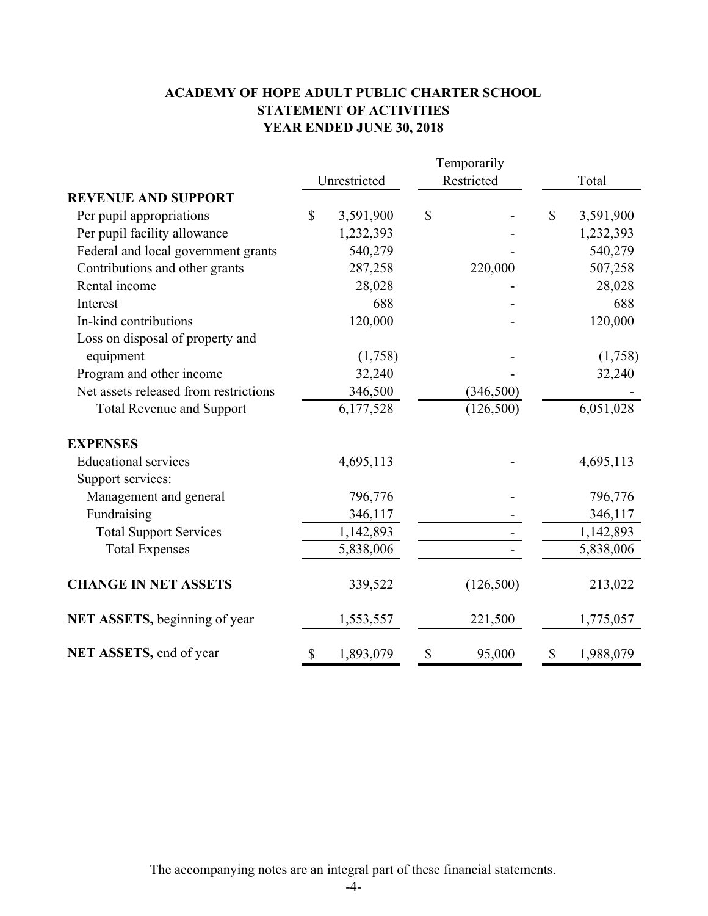# **ACADEMY OF HOPE ADULT PUBLIC CHARTER SCHOOL STATEMENT OF ACTIVITIES YEAR ENDED JUNE 30, 2018**

|                                       |                 |              | Temporarily |                 |
|---------------------------------------|-----------------|--------------|-------------|-----------------|
|                                       | Unrestricted    |              | Restricted  | Total           |
| <b>REVENUE AND SUPPORT</b>            |                 |              |             |                 |
| Per pupil appropriations              | \$<br>3,591,900 | $\mathbb{S}$ |             | \$<br>3,591,900 |
| Per pupil facility allowance          | 1,232,393       |              |             | 1,232,393       |
| Federal and local government grants   | 540,279         |              |             | 540,279         |
| Contributions and other grants        | 287,258         |              | 220,000     | 507,258         |
| Rental income                         | 28,028          |              |             | 28,028          |
| Interest                              | 688             |              |             | 688             |
| In-kind contributions                 | 120,000         |              |             | 120,000         |
| Loss on disposal of property and      |                 |              |             |                 |
| equipment                             | (1,758)         |              |             | (1,758)         |
| Program and other income              | 32,240          |              |             | 32,240          |
| Net assets released from restrictions | 346,500         |              | (346, 500)  |                 |
| <b>Total Revenue and Support</b>      | 6,177,528       |              | (126, 500)  | 6,051,028       |
| <b>EXPENSES</b>                       |                 |              |             |                 |
| <b>Educational services</b>           | 4,695,113       |              |             | 4,695,113       |
| Support services:                     |                 |              |             |                 |
| Management and general                | 796,776         |              |             | 796,776         |
| Fundraising                           | 346,117         |              |             | 346,117         |
| <b>Total Support Services</b>         | 1,142,893       |              |             | 1,142,893       |
| <b>Total Expenses</b>                 | 5,838,006       |              |             | 5,838,006       |
| <b>CHANGE IN NET ASSETS</b>           | 339,522         |              | (126,500)   | 213,022         |
| <b>NET ASSETS, beginning of year</b>  | 1,553,557       |              | 221,500     | 1,775,057       |
| NET ASSETS, end of year               | \$<br>1,893,079 | \$           | 95,000      | \$<br>1,988,079 |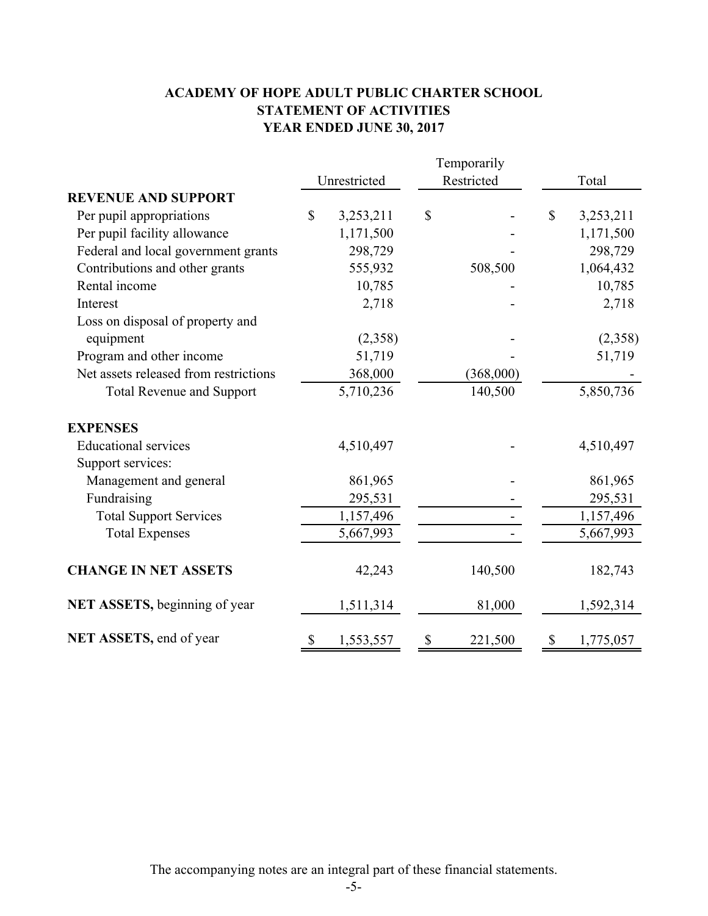# **ACADEMY OF HOPE ADULT PUBLIC CHARTER SCHOOL STATEMENT OF ACTIVITIES YEAR ENDED JUNE 30, 2017**

|                                       |              |              |            | Temporarily |    |           |
|---------------------------------------|--------------|--------------|------------|-------------|----|-----------|
|                                       |              | Unrestricted | Restricted |             |    | Total     |
| <b>REVENUE AND SUPPORT</b>            |              |              |            |             |    |           |
| Per pupil appropriations              | \$           | 3,253,211    | \$         |             | \$ | 3,253,211 |
| Per pupil facility allowance          |              | 1,171,500    |            |             |    | 1,171,500 |
| Federal and local government grants   |              | 298,729      |            |             |    | 298,729   |
| Contributions and other grants        |              | 555,932      |            | 508,500     |    | 1,064,432 |
| Rental income                         |              | 10,785       |            |             |    | 10,785    |
| Interest                              |              | 2,718        |            |             |    | 2,718     |
| Loss on disposal of property and      |              |              |            |             |    |           |
| equipment                             |              | (2,358)      |            |             |    | (2,358)   |
| Program and other income              |              | 51,719       |            |             |    | 51,719    |
| Net assets released from restrictions |              | 368,000      |            | (368,000)   |    |           |
| <b>Total Revenue and Support</b>      |              | 5,710,236    |            | 140,500     |    | 5,850,736 |
| <b>EXPENSES</b>                       |              |              |            |             |    |           |
| <b>Educational services</b>           |              | 4,510,497    |            |             |    | 4,510,497 |
| Support services:                     |              |              |            |             |    |           |
| Management and general                |              | 861,965      |            |             |    | 861,965   |
| Fundraising                           |              | 295,531      |            |             |    | 295,531   |
| <b>Total Support Services</b>         |              | 1,157,496    |            |             |    | 1,157,496 |
| <b>Total Expenses</b>                 |              | 5,667,993    |            |             |    | 5,667,993 |
| <b>CHANGE IN NET ASSETS</b>           |              | 42,243       |            | 140,500     |    | 182,743   |
| NET ASSETS, beginning of year         |              | 1,511,314    |            | 81,000      |    | 1,592,314 |
| NET ASSETS, end of year               | $\mathbb{S}$ | 1,553,557    | \$         | 221,500     | \$ | 1,775,057 |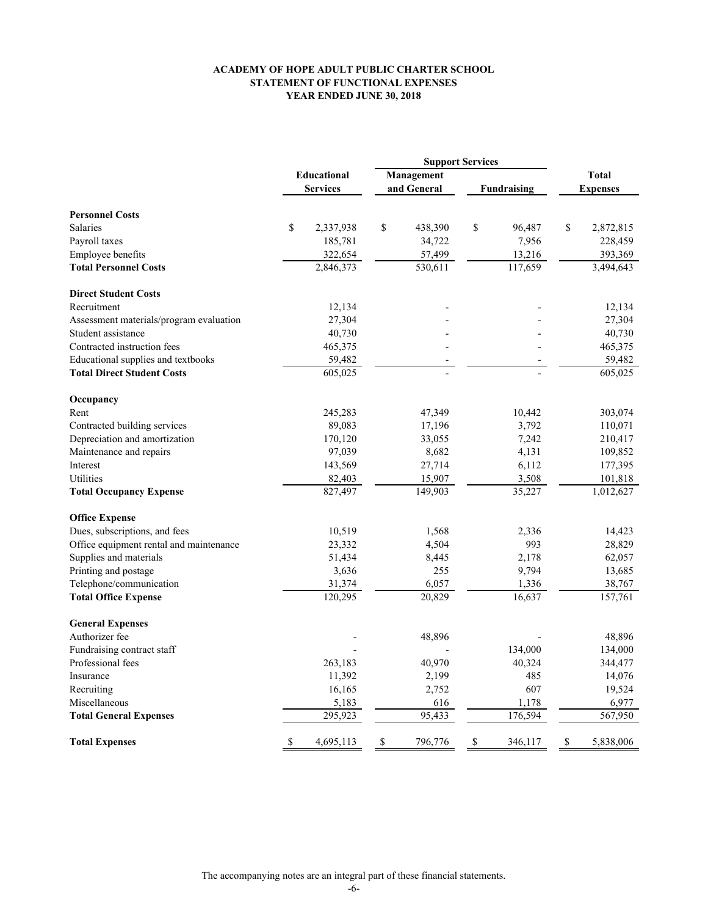#### **ACADEMY OF HOPE ADULT PUBLIC CHARTER SCHOOL STATEMENT OF FUNCTIONAL EXPENSES YEAR ENDED JUNE 30, 2018**

|                                         |                            | <b>Support Services</b> |               |                 |  |
|-----------------------------------------|----------------------------|-------------------------|---------------|-----------------|--|
| <b>Educational</b>                      |                            | Management              |               | <b>Total</b>    |  |
|                                         | <b>Services</b>            | and General             | Fundraising   | <b>Expenses</b> |  |
|                                         |                            |                         |               |                 |  |
| <b>Personnel Costs</b>                  |                            |                         |               |                 |  |
| <b>Salaries</b>                         | \$<br>2,337,938            | \$<br>438,390           | \$<br>96,487  | \$<br>2,872,815 |  |
| Payroll taxes                           | 185,781                    | 34,722                  | 7,956         | 228,459         |  |
| Employee benefits                       | 322,654                    | 57,499                  | 13,216        | 393,369         |  |
| <b>Total Personnel Costs</b>            | 2,846,373                  | 530,611                 | 117,659       | 3,494,643       |  |
| <b>Direct Student Costs</b>             |                            |                         |               |                 |  |
| Recruitment                             | 12,134                     |                         |               | 12,134          |  |
| Assessment materials/program evaluation | 27,304                     |                         |               | 27,304          |  |
| Student assistance                      | 40,730                     |                         |               | 40,730          |  |
| Contracted instruction fees             | 465,375                    |                         |               | 465,375         |  |
| Educational supplies and textbooks      | 59,482                     |                         |               | 59,482          |  |
| <b>Total Direct Student Costs</b>       | 605,025                    |                         |               | 605,025         |  |
| Occupancy                               |                            |                         |               |                 |  |
| Rent                                    | 245,283                    | 47,349                  | 10,442        | 303,074         |  |
| Contracted building services            | 89,083                     | 17,196                  | 3,792         | 110,071         |  |
| Depreciation and amortization           | 170,120                    | 33,055                  | 7,242         | 210,417         |  |
| Maintenance and repairs                 | 97,039                     | 8,682                   | 4,131         | 109,852         |  |
| Interest                                | 143,569                    | 27,714                  | 6,112         | 177,395         |  |
| <b>Utilities</b>                        | 82,403                     | 15,907                  | 3,508         | 101,818         |  |
| <b>Total Occupancy Expense</b>          | 827,497                    | 149,903                 | 35,227        | 1,012,627       |  |
| <b>Office Expense</b>                   |                            |                         |               |                 |  |
| Dues, subscriptions, and fees           | 10,519                     | 1,568                   | 2,336         | 14,423          |  |
| Office equipment rental and maintenance | 23,332                     | 4,504                   | 993           | 28,829          |  |
| Supplies and materials                  | 51,434                     | 8,445                   | 2,178         | 62,057          |  |
| Printing and postage                    | 3,636                      | 255                     | 9,794         | 13,685          |  |
| Telephone/communication                 | 31,374                     | 6,057                   | 1,336         | 38,767          |  |
| <b>Total Office Expense</b>             | 120,295                    | 20,829                  | 16,637        | 157,761         |  |
| <b>General Expenses</b>                 |                            |                         |               |                 |  |
| Authorizer fee                          |                            | 48,896                  |               | 48,896          |  |
| Fundraising contract staff              |                            |                         | 134,000       | 134,000         |  |
| Professional fees                       | 263,183                    | 40,970                  | 40,324        | 344,477         |  |
| Insurance                               | 11,392                     | 2,199                   | 485           | 14,076          |  |
| Recruiting                              | 16,165                     | 2,752                   | 607           | 19,524          |  |
| Miscellaneous                           | 5,183                      | 616                     | 1,178         | 6,977           |  |
| <b>Total General Expenses</b>           | 295,923                    | 95,433                  | 176,594       | 567,950         |  |
| <b>Total Expenses</b>                   | <sup>\$</sup><br>4,695,113 | \$<br>796,776           | \$<br>346,117 | \$<br>5,838,006 |  |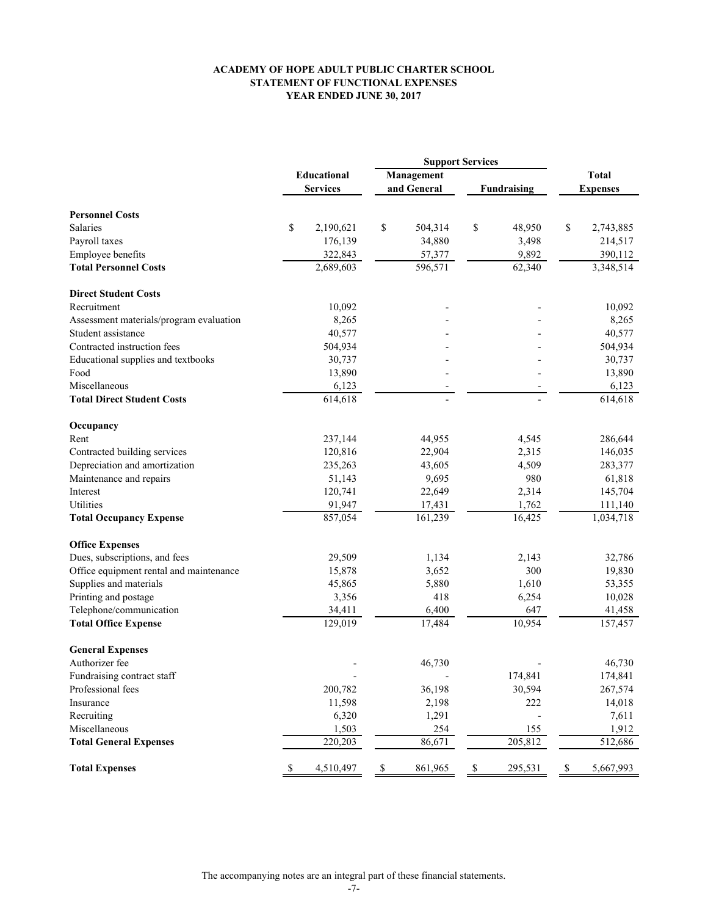#### **ACADEMY OF HOPE ADULT PUBLIC CHARTER SCHOOL STATEMENT OF FUNCTIONAL EXPENSES YEAR ENDED JUNE 30, 2017**

|                                           | <b>Support Services</b> |                 |             |                          |    |             |                 |           |  |
|-------------------------------------------|-------------------------|-----------------|-------------|--------------------------|----|-------------|-----------------|-----------|--|
|                                           | <b>Educational</b>      |                 | Management  |                          |    |             | <b>Total</b>    |           |  |
|                                           |                         | <b>Services</b> |             | and General              |    | Fundraising | <b>Expenses</b> |           |  |
| <b>Personnel Costs</b>                    |                         |                 |             |                          |    |             |                 |           |  |
| <b>Salaries</b>                           | \$                      | 2,190,621       | \$          | 504,314                  | \$ | 48,950      | \$              | 2,743,885 |  |
| Payroll taxes                             |                         | 176,139         |             | 34,880                   |    | 3,498       |                 | 214,517   |  |
| Employee benefits                         |                         | 322,843         |             | 57,377                   |    | 9,892       |                 | 390,112   |  |
| <b>Total Personnel Costs</b>              |                         | 2,689,603       |             | 596,571                  |    | 62,340      |                 | 3,348,514 |  |
|                                           |                         |                 |             |                          |    |             |                 |           |  |
| <b>Direct Student Costs</b>               |                         |                 |             |                          |    |             |                 |           |  |
| Recruitment                               |                         | 10,092          |             |                          |    |             |                 | 10,092    |  |
| Assessment materials/program evaluation   |                         | 8,265           |             |                          |    |             |                 | 8,265     |  |
| Student assistance                        |                         | 40,577          |             |                          |    |             |                 | 40,577    |  |
| Contracted instruction fees               |                         | 504,934         |             |                          |    |             |                 | 504,934   |  |
| Educational supplies and textbooks        |                         | 30,737          |             |                          |    |             |                 | 30,737    |  |
| Food                                      |                         | 13,890          |             |                          |    |             |                 | 13,890    |  |
| Miscellaneous                             |                         | 6,123           |             | $\overline{\phantom{a}}$ |    |             |                 | 6,123     |  |
| <b>Total Direct Student Costs</b>         |                         | 614,618         |             |                          |    |             |                 | 614,618   |  |
| Occupancy                                 |                         |                 |             |                          |    |             |                 |           |  |
| Rent                                      |                         | 237,144         |             | 44,955                   |    | 4,545       |                 | 286,644   |  |
| Contracted building services              |                         | 120,816         |             | 22,904                   |    | 2,315       |                 | 146,035   |  |
| Depreciation and amortization             |                         | 235,263         |             | 43,605                   |    | 4,509       |                 | 283,377   |  |
| Maintenance and repairs                   |                         | 51,143          |             | 9,695                    |    | 980         |                 | 61,818    |  |
| Interest                                  |                         | 120,741         |             | 22,649                   |    | 2,314       |                 | 145,704   |  |
| <b>Utilities</b>                          |                         | 91,947          |             | 17,431                   |    | 1,762       |                 | 111,140   |  |
| <b>Total Occupancy Expense</b>            |                         | 857,054         |             | 161,239                  |    | 16,425      |                 | 1,034,718 |  |
| <b>Office Expenses</b>                    |                         |                 |             |                          |    |             |                 |           |  |
| Dues, subscriptions, and fees             |                         | 29,509          |             | 1,134                    |    | 2,143       |                 | 32,786    |  |
| Office equipment rental and maintenance   |                         | 15,878          |             | 3,652                    |    | 300         |                 | 19,830    |  |
| Supplies and materials                    |                         | 45,865          |             | 5,880                    |    | 1,610       |                 | 53,355    |  |
| Printing and postage                      |                         | 3,356           |             | 418                      |    | 6,254       |                 | 10,028    |  |
| Telephone/communication                   |                         | 34,411          |             | 6,400                    |    | 647         |                 | 41,458    |  |
| <b>Total Office Expense</b>               |                         | 129,019         |             | 17,484                   |    | 10,954      |                 | 157,457   |  |
|                                           |                         |                 |             |                          |    |             |                 |           |  |
| <b>General Expenses</b><br>Authorizer fee |                         |                 |             |                          |    |             |                 |           |  |
|                                           |                         |                 |             | 46,730                   |    |             |                 | 46,730    |  |
| Fundraising contract staff                |                         |                 |             |                          |    | 174,841     |                 | 174,841   |  |
| Professional fees                         |                         | 200,782         |             | 36,198                   |    | 30,594      |                 | 267,574   |  |
| Insurance                                 |                         | 11,598          |             | 2,198                    |    | 222         |                 | 14,018    |  |
| Recruiting                                |                         | 6,320           |             | 1,291                    |    |             |                 | 7,611     |  |
| Miscellaneous                             |                         | 1,503           |             | 254                      |    | 155         |                 | 1,912     |  |
| <b>Total General Expenses</b>             |                         | 220,203         |             | 86,671                   |    | 205,812     |                 | 512,686   |  |
| <b>Total Expenses</b>                     | \$                      | 4,510,497       | $\mathbb S$ | 861,965                  | \$ | 295,531     | \$              | 5,667,993 |  |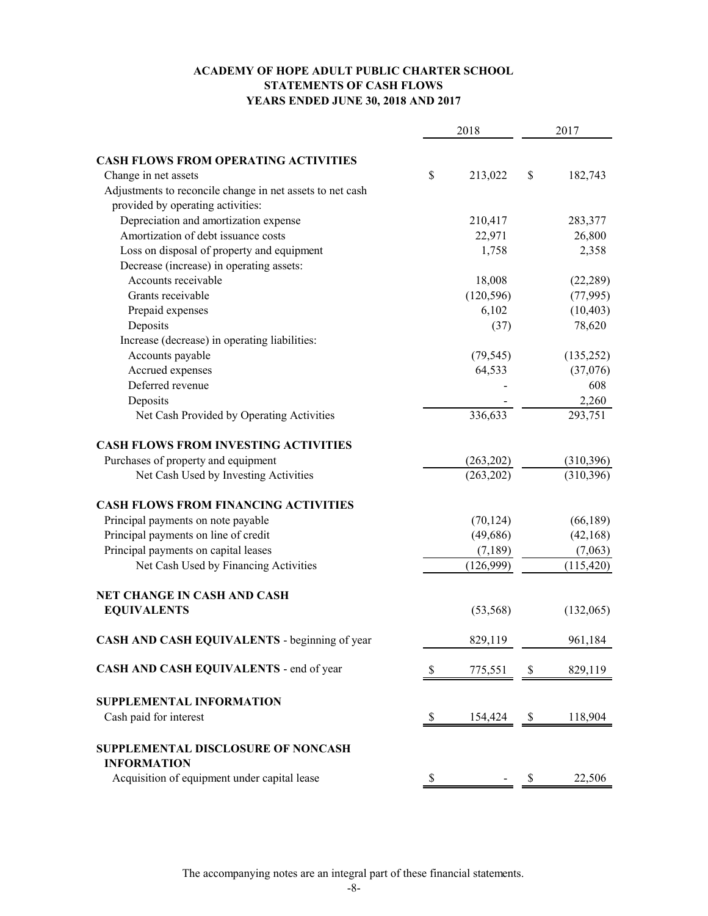#### **ACADEMY OF HOPE ADULT PUBLIC CHARTER SCHOOL STATEMENTS OF CASH FLOWS YEARS ENDED JUNE 30, 2018 AND 2017**

|                                                           |               | 2018       | 2017          |
|-----------------------------------------------------------|---------------|------------|---------------|
| <b>CASH FLOWS FROM OPERATING ACTIVITIES</b>               |               |            |               |
| Change in net assets                                      | $\mathsf{\$}$ | 213,022    | \$<br>182,743 |
| Adjustments to reconcile change in net assets to net cash |               |            |               |
| provided by operating activities:                         |               |            |               |
| Depreciation and amortization expense                     |               | 210,417    | 283,377       |
| Amortization of debt issuance costs                       |               | 22,971     | 26,800        |
| Loss on disposal of property and equipment                |               | 1,758      | 2,358         |
| Decrease (increase) in operating assets:                  |               |            |               |
| Accounts receivable                                       |               | 18,008     | (22, 289)     |
| Grants receivable                                         |               | (120, 596) | (77, 995)     |
| Prepaid expenses                                          |               | 6,102      | (10, 403)     |
| Deposits                                                  |               | (37)       | 78,620        |
| Increase (decrease) in operating liabilities:             |               |            |               |
| Accounts payable                                          |               | (79, 545)  | (135, 252)    |
| Accrued expenses                                          |               | 64,533     | (37,076)      |
| Deferred revenue                                          |               |            | 608           |
| Deposits                                                  |               |            | 2,260         |
| Net Cash Provided by Operating Activities                 |               | 336,633    | 293,751       |
| <b>CASH FLOWS FROM INVESTING ACTIVITIES</b>               |               |            |               |
| Purchases of property and equipment                       |               | (263, 202) | (310, 396)    |
| Net Cash Used by Investing Activities                     |               | (263, 202) | (310, 396)    |
| <b>CASH FLOWS FROM FINANCING ACTIVITIES</b>               |               |            |               |
| Principal payments on note payable                        |               | (70, 124)  | (66, 189)     |
| Principal payments on line of credit                      |               | (49, 686)  | (42, 168)     |
| Principal payments on capital leases                      |               | (7,189)    | (7,063)       |
| Net Cash Used by Financing Activities                     |               | (126,999)  | (115, 420)    |
| NET CHANGE IN CASH AND CASH                               |               |            |               |
| <b>EQUIVALENTS</b>                                        |               | (53, 568)  | (132,065)     |
| CASH AND CASH EQUIVALENTS - beginning of year             |               | 829,119    | 961,184       |
| CASH AND CASH EQUIVALENTS - end of year                   | S             | 775,551    | \$<br>829,119 |
| <b>SUPPLEMENTAL INFORMATION</b>                           |               |            |               |
| Cash paid for interest                                    | \$            | 154,424    | \$<br>118,904 |
| SUPPLEMENTAL DISCLOSURE OF NONCASH                        |               |            |               |
| <b>INFORMATION</b>                                        |               |            |               |
| Acquisition of equipment under capital lease              | \$            |            | \$<br>22,506  |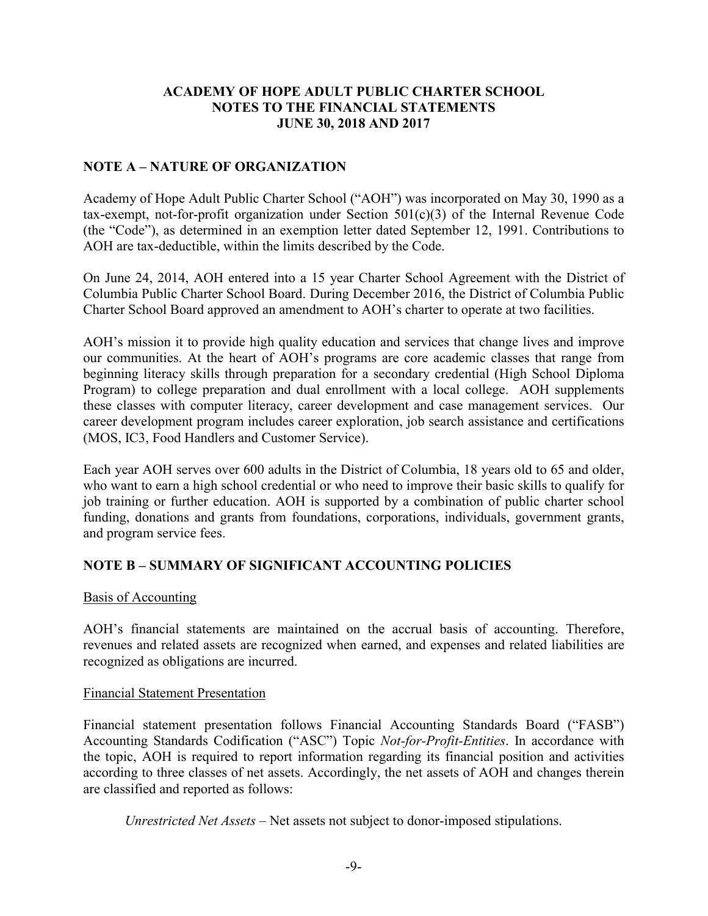# **NOTE A – NATURE OF ORGANIZATION**

Academy of Hope Adult Public Charter School ("AOH") was incorporated on May 30, 1990 as a tax-exempt, not-for-profit organization under Section 501(c)(3) of the Internal Revenue Code (the "Code"), as determined in an exemption letter dated September 12, 1991. Contributions to AOH are tax-deductible, within the limits described by the Code.

On June 24, 2014, AOH entered into a 15 year Charter School Agreement with the District of Columbia Public Charter School Board. During December 2016, the District of Columbia Public Charter School Board approved an amendment to AOH's charter to operate at two facilities.

AOH's mission it to provide high quality education and services that change lives and improve our communities. At the heart of AOH's programs are core academic classes that range from beginning literacy skills through preparation for a secondary credential (High School Diploma Program) to college preparation and dual enrollment with a local college. AOH supplements these classes with computer literacy, career development and case management services. Our career development program includes career exploration, job search assistance and certifications (MOS, IC3, Food Handlers and Customer Service).

Each year AOH serves over 600 adults in the District of Columbia, 18 years old to 65 and older, who want to earn a high school credential or who need to improve their basic skills to qualify for job training or further education. AOH is supported by a combination of public charter school funding, donations and grants from foundations, corporations, individuals, government grants, and program service fees.

# **NOTE B – SUMMARY OF SIGNIFICANT ACCOUNTING POLICIES**

# Basis of Accounting

AOH's financial statements are maintained on the accrual basis of accounting. Therefore, revenues and related assets are recognized when earned, and expenses and related liabilities are recognized as obligations are incurred.

# Financial Statement Presentation

Financial statement presentation follows Financial Accounting Standards Board ("FASB") Accounting Standards Codification ("ASC") Topic *Not-for-Profit-Entities*. In accordance with the topic, AOH is required to report information regarding its financial position and activities according to three classes of net assets. Accordingly, the net assets of AOH and changes therein are classified and reported as follows:

*Unrestricted Net Assets* – Net assets not subject to donor-imposed stipulations.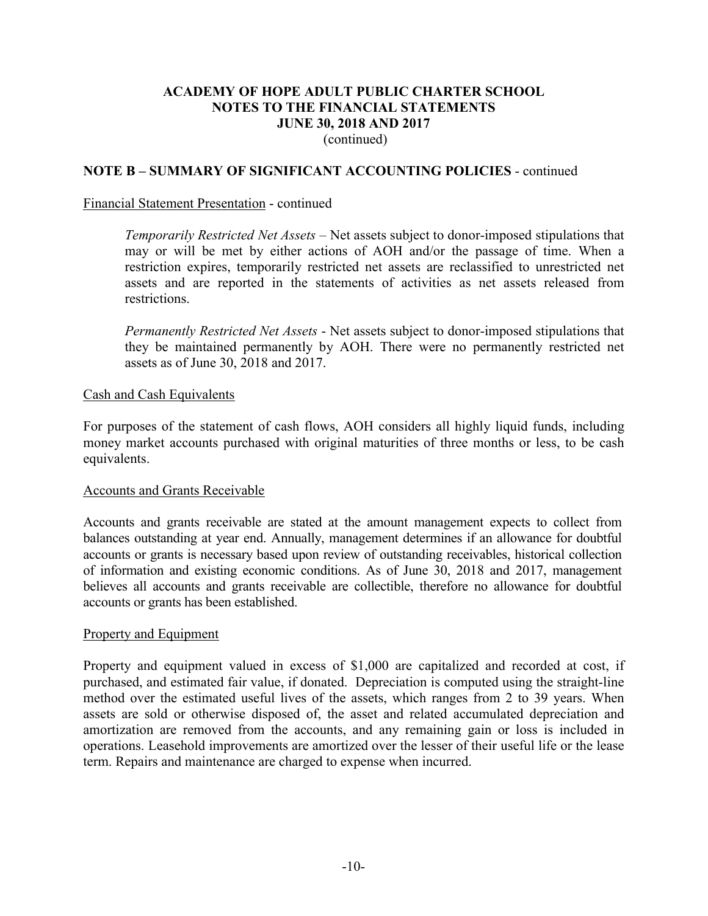# **NOTE B – SUMMARY OF SIGNIFICANT ACCOUNTING POLICIES** - continued

#### Financial Statement Presentation - continued

*Temporarily Restricted Net Assets* – Net assets subject to donor-imposed stipulations that may or will be met by either actions of AOH and/or the passage of time. When a restriction expires, temporarily restricted net assets are reclassified to unrestricted net assets and are reported in the statements of activities as net assets released from restrictions.

*Permanently Restricted Net Assets* - Net assets subject to donor-imposed stipulations that they be maintained permanently by AOH. There were no permanently restricted net assets as of June 30, 2018 and 2017.

#### Cash and Cash Equivalents

For purposes of the statement of cash flows, AOH considers all highly liquid funds, including money market accounts purchased with original maturities of three months or less, to be cash equivalents.

#### Accounts and Grants Receivable

Accounts and grants receivable are stated at the amount management expects to collect from balances outstanding at year end. Annually, management determines if an allowance for doubtful accounts or grants is necessary based upon review of outstanding receivables, historical collection of information and existing economic conditions. As of June 30, 2018 and 2017, management believes all accounts and grants receivable are collectible, therefore no allowance for doubtful accounts or grants has been established.

#### Property and Equipment

Property and equipment valued in excess of \$1,000 are capitalized and recorded at cost, if purchased, and estimated fair value, if donated. Depreciation is computed using the straight-line method over the estimated useful lives of the assets, which ranges from 2 to 39 years. When assets are sold or otherwise disposed of, the asset and related accumulated depreciation and amortization are removed from the accounts, and any remaining gain or loss is included in operations. Leasehold improvements are amortized over the lesser of their useful life or the lease term. Repairs and maintenance are charged to expense when incurred.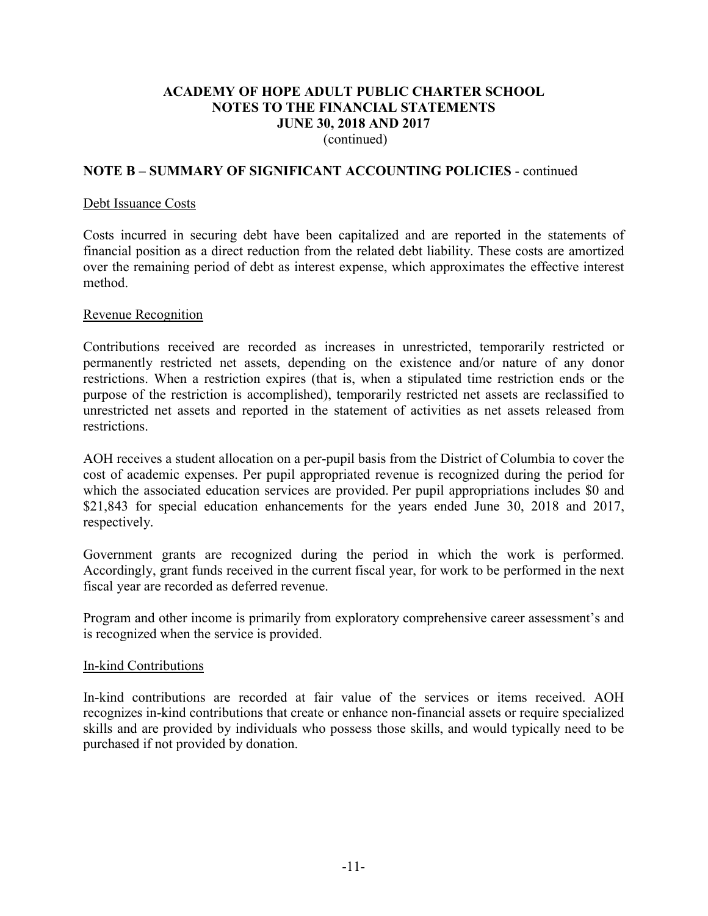# **NOTE B – SUMMARY OF SIGNIFICANT ACCOUNTING POLICIES** - continued

#### Debt Issuance Costs

Costs incurred in securing debt have been capitalized and are reported in the statements of financial position as a direct reduction from the related debt liability. These costs are amortized over the remaining period of debt as interest expense, which approximates the effective interest method.

#### Revenue Recognition

Contributions received are recorded as increases in unrestricted, temporarily restricted or permanently restricted net assets, depending on the existence and/or nature of any donor restrictions. When a restriction expires (that is, when a stipulated time restriction ends or the purpose of the restriction is accomplished), temporarily restricted net assets are reclassified to unrestricted net assets and reported in the statement of activities as net assets released from restrictions.

AOH receives a student allocation on a per-pupil basis from the District of Columbia to cover the cost of academic expenses. Per pupil appropriated revenue is recognized during the period for which the associated education services are provided. Per pupil appropriations includes \$0 and \$21,843 for special education enhancements for the years ended June 30, 2018 and 2017, respectively.

Government grants are recognized during the period in which the work is performed. Accordingly, grant funds received in the current fiscal year, for work to be performed in the next fiscal year are recorded as deferred revenue.

Program and other income is primarily from exploratory comprehensive career assessment's and is recognized when the service is provided.

# In-kind Contributions

In-kind contributions are recorded at fair value of the services or items received. AOH recognizes in-kind contributions that create or enhance non-financial assets or require specialized skills and are provided by individuals who possess those skills, and would typically need to be purchased if not provided by donation.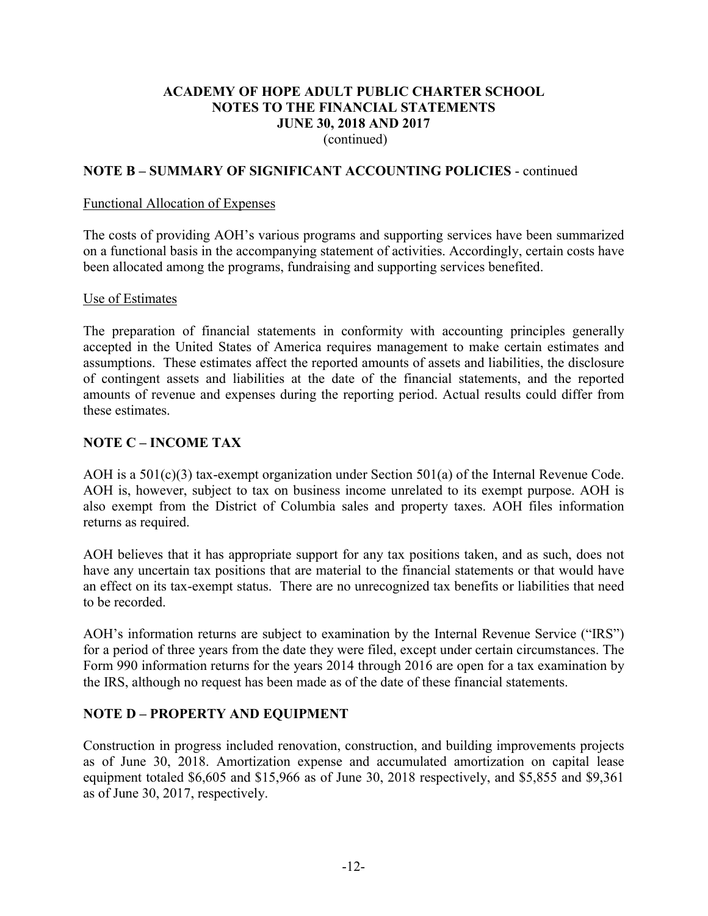# **NOTE B – SUMMARY OF SIGNIFICANT ACCOUNTING POLICIES** - continued

#### Functional Allocation of Expenses

The costs of providing AOH's various programs and supporting services have been summarized on a functional basis in the accompanying statement of activities. Accordingly, certain costs have been allocated among the programs, fundraising and supporting services benefited.

#### Use of Estimates

The preparation of financial statements in conformity with accounting principles generally accepted in the United States of America requires management to make certain estimates and assumptions. These estimates affect the reported amounts of assets and liabilities, the disclosure of contingent assets and liabilities at the date of the financial statements, and the reported amounts of revenue and expenses during the reporting period. Actual results could differ from these estimates.

# **NOTE C – INCOME TAX**

AOH is a 501(c)(3) tax-exempt organization under Section 501(a) of the Internal Revenue Code. AOH is, however, subject to tax on business income unrelated to its exempt purpose. AOH is also exempt from the District of Columbia sales and property taxes. AOH files information returns as required.

AOH believes that it has appropriate support for any tax positions taken, and as such, does not have any uncertain tax positions that are material to the financial statements or that would have an effect on its tax-exempt status. There are no unrecognized tax benefits or liabilities that need to be recorded.

AOH's information returns are subject to examination by the Internal Revenue Service ("IRS") for a period of three years from the date they were filed, except under certain circumstances. The Form 990 information returns for the years 2014 through 2016 are open for a tax examination by the IRS, although no request has been made as of the date of these financial statements.

# **NOTE D – PROPERTY AND EQUIPMENT**

Construction in progress included renovation, construction, and building improvements projects as of June 30, 2018. Amortization expense and accumulated amortization on capital lease equipment totaled \$6,605 and \$15,966 as of June 30, 2018 respectively, and \$5,855 and \$9,361 as of June 30, 2017, respectively.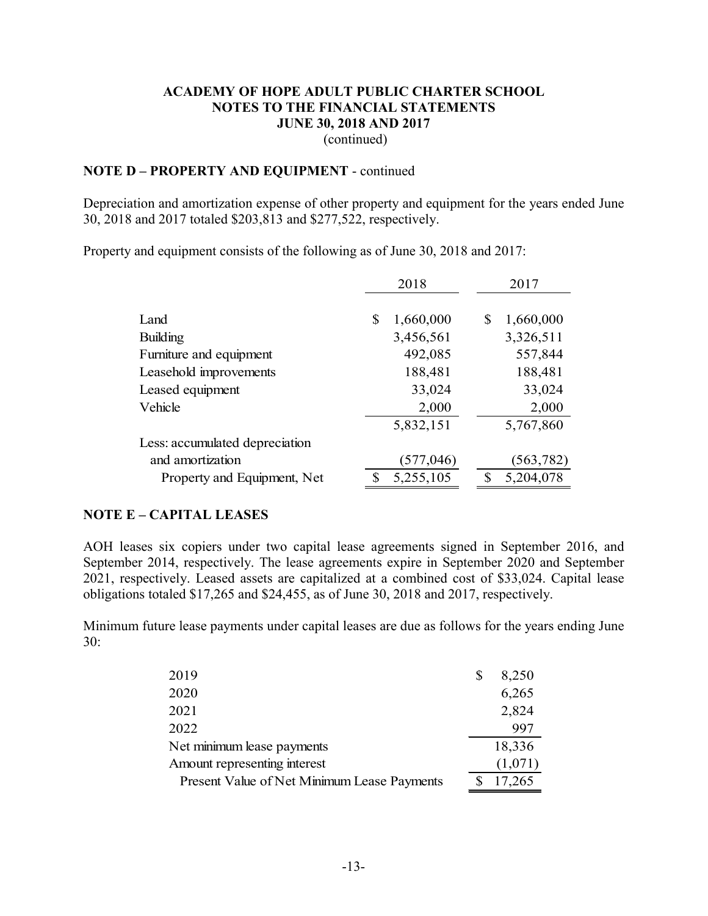### **NOTE D – PROPERTY AND EQUIPMENT** - continued

Depreciation and amortization expense of other property and equipment for the years ended June 30, 2018 and 2017 totaled \$203,813 and \$277,522, respectively.

Property and equipment consists of the following as of June 30, 2018 and 2017:

|                                | 2018            |    | 2017       |
|--------------------------------|-----------------|----|------------|
| Land                           | \$<br>1,660,000 | \$ | 1,660,000  |
| <b>Building</b>                | 3,456,561       |    | 3,326,511  |
| Furniture and equipment        | 492,085         |    | 557,844    |
| Leasehold improvements         | 188,481         |    | 188,481    |
| Leased equipment               | 33,024          |    | 33,024     |
| Vehicle                        | 2,000           |    | 2,000      |
|                                | 5,832,151       |    | 5,767,860  |
| Less: accumulated depreciation |                 |    |            |
| and amortization               | (577, 046)      |    | (563, 782) |
| Property and Equipment, Net    | 5,255,105       | \$ | 5,204,078  |

# **NOTE E – CAPITAL LEASES**

AOH leases six copiers under two capital lease agreements signed in September 2016, and September 2014, respectively. The lease agreements expire in September 2020 and September 2021, respectively. Leased assets are capitalized at a combined cost of \$33,024. Capital lease obligations totaled \$17,265 and \$24,455, as of June 30, 2018 and 2017, respectively.

Minimum future lease payments under capital leases are due as follows for the years ending June 30:

| 2019                                        | 8,250   |
|---------------------------------------------|---------|
| 2020                                        | 6,265   |
| 2021                                        | 2,824   |
| 2022                                        | 997     |
| Net minimum lease payments                  | 18,336  |
| Amount representing interest                | (1,071) |
| Present Value of Net Minimum Lease Payments | 17,265  |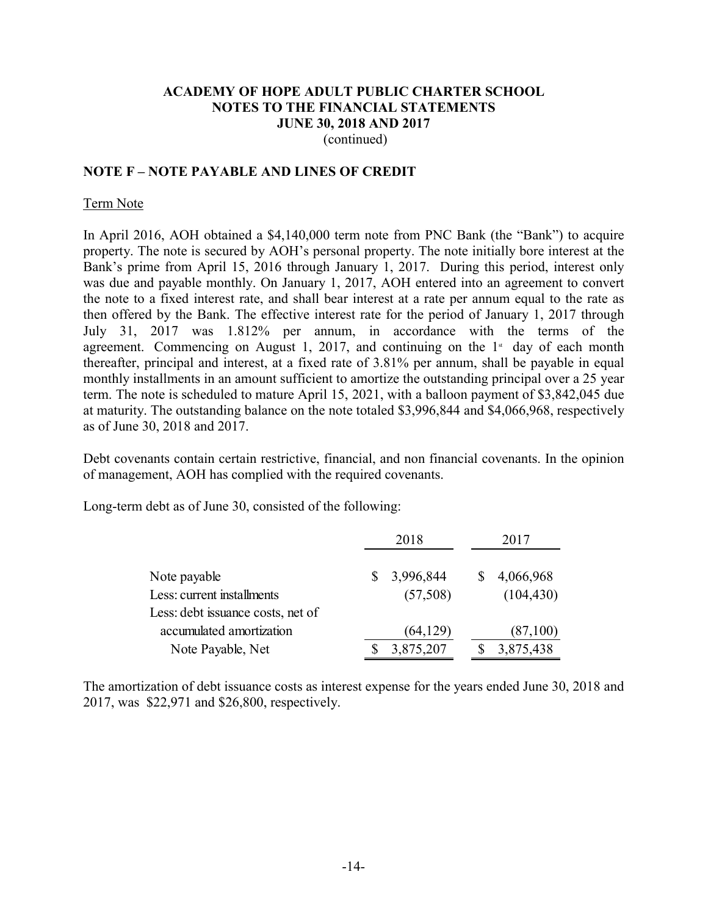# **NOTE F – NOTE PAYABLE AND LINES OF CREDIT**

### Term Note

In April 2016, AOH obtained a \$4,140,000 term note from PNC Bank (the "Bank") to acquire property. The note is secured by AOH's personal property. The note initially bore interest at the Bank's prime from April 15, 2016 through January 1, 2017. During this period, interest only was due and payable monthly. On January 1, 2017, AOH entered into an agreement to convert the note to a fixed interest rate, and shall bear interest at a rate per annum equal to the rate as then offered by the Bank. The effective interest rate for the period of January 1, 2017 through July 31, 2017 was 1.812% per annum, in accordance with the terms of the agreement. Commencing on August 1, 2017, and continuing on the  $1<sup>*</sup>$  day of each month thereafter, principal and interest, at a fixed rate of 3.81% per annum, shall be payable in equal monthly installments in an amount sufficient to amortize the outstanding principal over a 25 year term. The note is scheduled to mature April 15, 2021, with a balloon payment of \$3,842,045 due at maturity. The outstanding balance on the note totaled \$3,996,844 and \$4,066,968, respectively as of June 30, 2018 and 2017.

Debt covenants contain certain restrictive, financial, and non financial covenants. In the opinion of management, AOH has complied with the required covenants.

Long-term debt as of June 30, consisted of the following:

|                                   | 2018      | 2017       |
|-----------------------------------|-----------|------------|
| Note payable                      | 3,996,844 | 4,066,968  |
| Less: current installments        | (57,508)  | (104, 430) |
| Less: debt issuance costs, net of |           |            |
| accumulated amortization          | (64, 129) | (87,100)   |
| Note Payable, Net                 | 3,875,207 | 3,875,438  |

The amortization of debt issuance costs as interest expense for the years ended June 30, 2018 and 2017, was \$22,971 and \$26,800, respectively.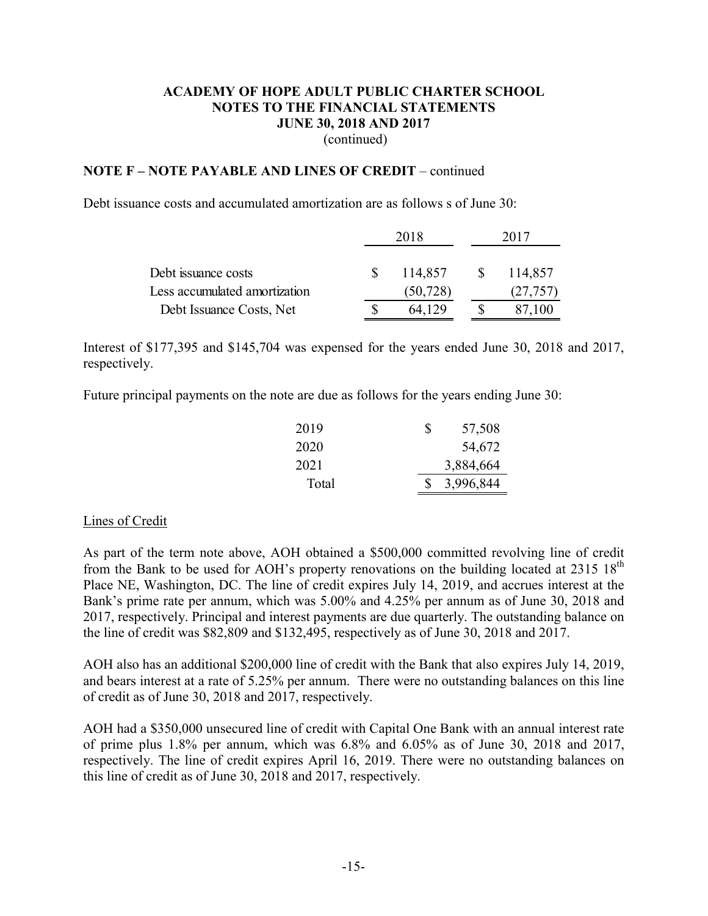# **NOTE F – NOTE PAYABLE AND LINES OF CREDIT** – continued

Debt issuance costs and accumulated amortization are as follows s of June 30:

|                               | 2018 |           | 2017 |           |  |
|-------------------------------|------|-----------|------|-----------|--|
|                               |      |           |      |           |  |
| Debt issuance costs           |      | 114,857   |      | 114,857   |  |
| Less accumulated amortization |      | (50, 728) |      | (27, 757) |  |
| Debt Issuance Costs, Net      |      | 64 129    |      | 87.100    |  |

Interest of \$177,395 and \$145,704 was expensed for the years ended June 30, 2018 and 2017, respectively.

Future principal payments on the note are due as follows for the years ending June 30:

| 2019  | S | 57,508    |
|-------|---|-----------|
| 2020  |   | 54,672    |
| 2021  |   | 3,884,664 |
| Total |   | 3,996,844 |

# Lines of Credit

As part of the term note above, AOH obtained a \$500,000 committed revolving line of credit from the Bank to be used for AOH's property renovations on the building located at  $2315\,18^{th}$ Place NE, Washington, DC. The line of credit expires July 14, 2019, and accrues interest at the Bank's prime rate per annum, which was 5.00% and 4.25% per annum as of June 30, 2018 and 2017, respectively. Principal and interest payments are due quarterly. The outstanding balance on the line of credit was \$82,809 and \$132,495, respectively as of June 30, 2018 and 2017.

AOH also has an additional \$200,000 line of credit with the Bank that also expires July 14, 2019, and bears interest at a rate of 5.25% per annum. There were no outstanding balances on this line of credit as of June 30, 2018 and 2017, respectively.

AOH had a \$350,000 unsecured line of credit with Capital One Bank with an annual interest rate of prime plus 1.8% per annum, which was 6.8% and 6.05% as of June 30, 2018 and 2017, respectively. The line of credit expires April 16, 2019. There were no outstanding balances on this line of credit as of June 30, 2018 and 2017, respectively.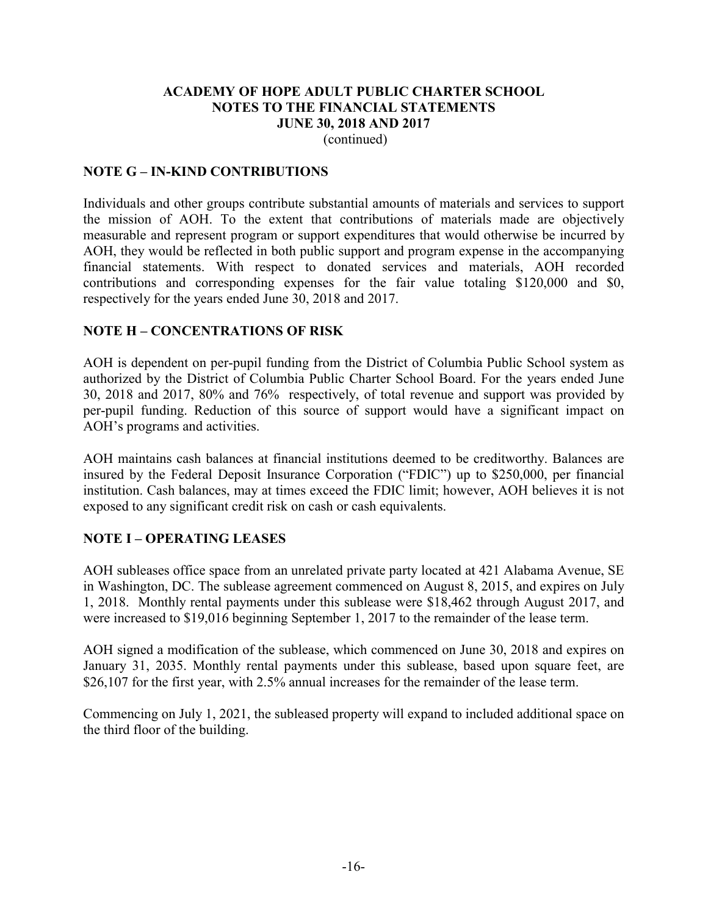### **NOTE G – IN-KIND CONTRIBUTIONS**

Individuals and other groups contribute substantial amounts of materials and services to support the mission of AOH. To the extent that contributions of materials made are objectively measurable and represent program or support expenditures that would otherwise be incurred by AOH, they would be reflected in both public support and program expense in the accompanying financial statements. With respect to donated services and materials, AOH recorded contributions and corresponding expenses for the fair value totaling \$120,000 and \$0, respectively for the years ended June 30, 2018 and 2017.

#### **NOTE H – CONCENTRATIONS OF RISK**

AOH is dependent on per-pupil funding from the District of Columbia Public School system as authorized by the District of Columbia Public Charter School Board. For the years ended June 30, 2018 and 2017, 80% and 76% respectively, of total revenue and support was provided by per-pupil funding. Reduction of this source of support would have a significant impact on AOH's programs and activities.

AOH maintains cash balances at financial institutions deemed to be creditworthy. Balances are insured by the Federal Deposit Insurance Corporation ("FDIC") up to \$250,000, per financial institution. Cash balances, may at times exceed the FDIC limit; however, AOH believes it is not exposed to any significant credit risk on cash or cash equivalents.

# **NOTE I – OPERATING LEASES**

AOH subleases office space from an unrelated private party located at 421 Alabama Avenue, SE in Washington, DC. The sublease agreement commenced on August 8, 2015, and expires on July 1, 2018. Monthly rental payments under this sublease were \$18,462 through August 2017, and were increased to \$19,016 beginning September 1, 2017 to the remainder of the lease term.

AOH signed a modification of the sublease, which commenced on June 30, 2018 and expires on January 31, 2035. Monthly rental payments under this sublease, based upon square feet, are \$26,107 for the first year, with 2.5% annual increases for the remainder of the lease term.

Commencing on July 1, 2021, the subleased property will expand to included additional space on the third floor of the building.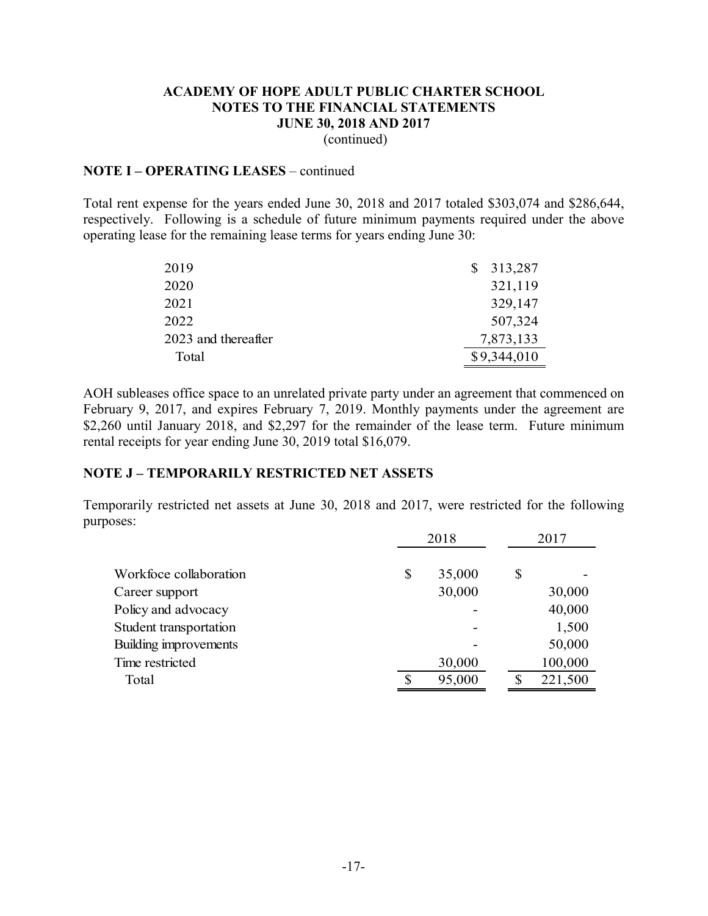#### **NOTE I – OPERATING LEASES** – continued

Total rent expense for the years ended June 30, 2018 and 2017 totaled \$303,074 and \$286,644, respectively. Following is a schedule of future minimum payments required under the above operating lease for the remaining lease terms for years ending June 30:

| 2019                | 313,287<br>S. |
|---------------------|---------------|
| 2020                | 321,119       |
| 2021                | 329,147       |
| 2022                | 507,324       |
| 2023 and thereafter | 7,873,133     |
| Total               | \$9,344,010   |

AOH subleases office space to an unrelated private party under an agreement that commenced on February 9, 2017, and expires February 7, 2019. Monthly payments under the agreement are \$2,260 until January 2018, and \$2,297 for the remainder of the lease term. Future minimum rental receipts for year ending June 30, 2019 total \$16,079.

# **NOTE J – TEMPORARILY RESTRICTED NET ASSETS**

Temporarily restricted net assets at June 30, 2018 and 2017, were restricted for the following purposes:

|                        | 2018 |        |    | 2017    |  |
|------------------------|------|--------|----|---------|--|
| Workfoce collaboration | \$   | 35,000 | \$ |         |  |
| Career support         |      | 30,000 |    | 30,000  |  |
| Policy and advocacy    |      |        |    | 40,000  |  |
| Student transportation |      |        |    | 1,500   |  |
| Building improvements  |      |        |    | 50,000  |  |
| Time restricted        |      | 30,000 |    | 100,000 |  |
| Total                  |      | 95,000 | S  | 221,500 |  |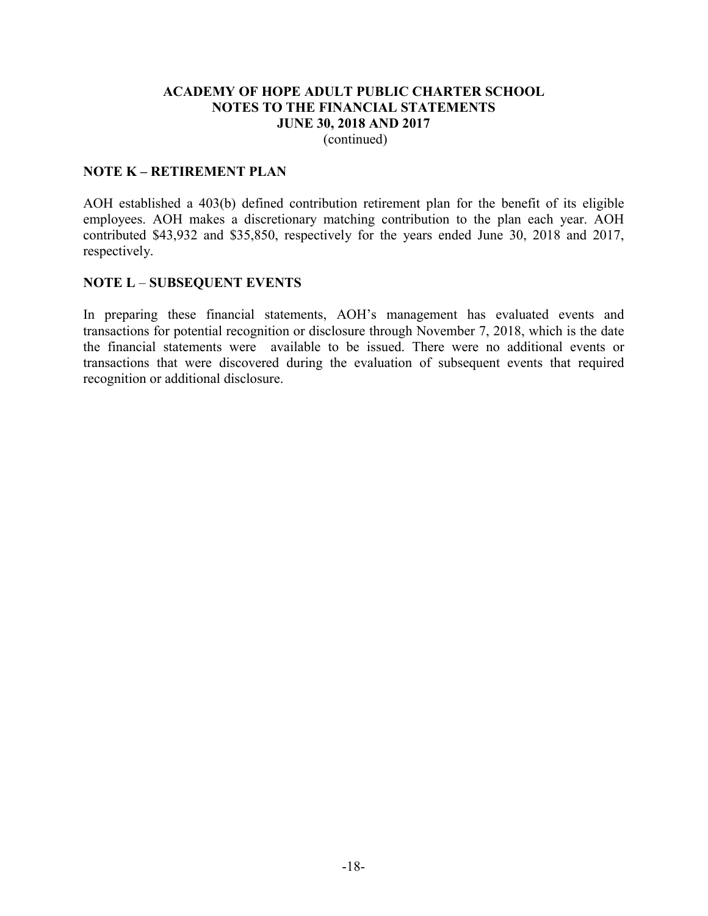### **NOTE K – RETIREMENT PLAN**

AOH established a 403(b) defined contribution retirement plan for the benefit of its eligible employees. AOH makes a discretionary matching contribution to the plan each year. AOH contributed \$43,932 and \$35,850, respectively for the years ended June 30, 2018 and 2017, respectively.

#### **NOTE L** – **SUBSEQUENT EVENTS**

In preparing these financial statements, AOH's management has evaluated events and transactions for potential recognition or disclosure through November 7, 2018, which is the date the financial statements were available to be issued. There were no additional events or transactions that were discovered during the evaluation of subsequent events that required recognition or additional disclosure.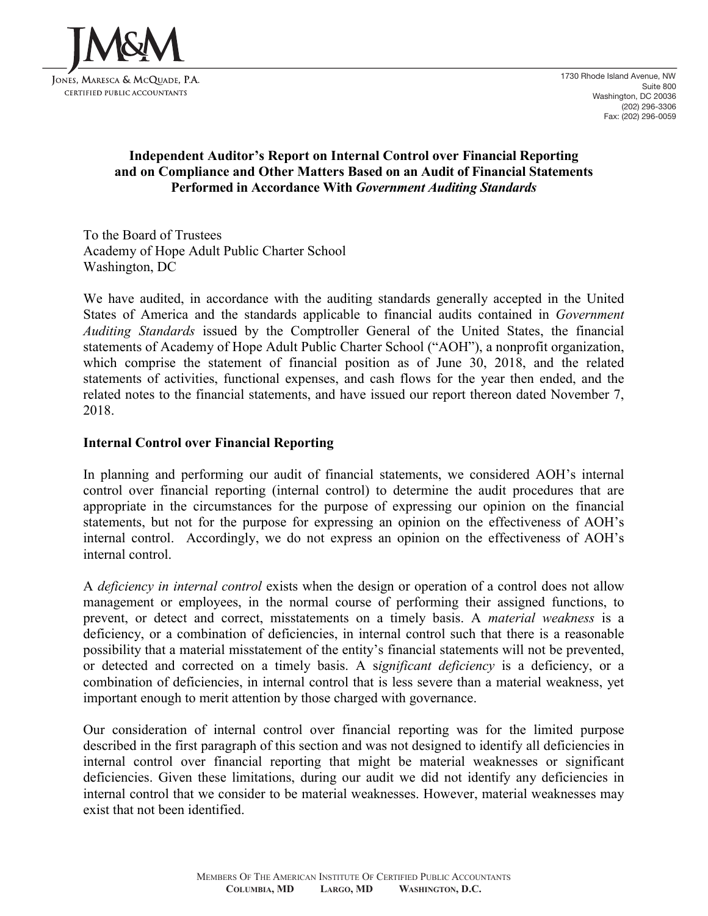

# **Independent Auditor's Report on Internal Control over Financial Reporting and on Compliance and Other Matters Based on an Audit of Financial Statements Performed in Accordance With** *Government Auditing Standards*

To the Board of Trustees Academy of Hope Adult Public Charter School Washington, DC

We have audited, in accordance with the auditing standards generally accepted in the United States of America and the standards applicable to financial audits contained in *Government Auditing Standards* issued by the Comptroller General of the United States, the financial statements of Academy of Hope Adult Public Charter School ("AOH"), a nonprofit organization, which comprise the statement of financial position as of June 30, 2018, and the related statements of activities, functional expenses, and cash flows for the year then ended, and the related notes to the financial statements, and have issued our report thereon dated November 7, 2018.

# **Internal Control over Financial Reporting**

In planning and performing our audit of financial statements, we considered AOH's internal control over financial reporting (internal control) to determine the audit procedures that are appropriate in the circumstances for the purpose of expressing our opinion on the financial statements, but not for the purpose for expressing an opinion on the effectiveness of AOH's internal control. Accordingly, we do not express an opinion on the effectiveness of AOH's internal control.

A *deficiency in internal control* exists when the design or operation of a control does not allow management or employees, in the normal course of performing their assigned functions, to prevent, or detect and correct, misstatements on a timely basis. A *material weakness* is a deficiency, or a combination of deficiencies, in internal control such that there is a reasonable possibility that a material misstatement of the entity's financial statements will not be prevented, or detected and corrected on a timely basis. A s*ignificant deficiency* is a deficiency, or a combination of deficiencies, in internal control that is less severe than a material weakness, yet important enough to merit attention by those charged with governance.

Our consideration of internal control over financial reporting was for the limited purpose described in the first paragraph of this section and was not designed to identify all deficiencies in internal control over financial reporting that might be material weaknesses or significant deficiencies. Given these limitations, during our audit we did not identify any deficiencies in internal control that we consider to be material weaknesses. However, material weaknesses may exist that not been identified.